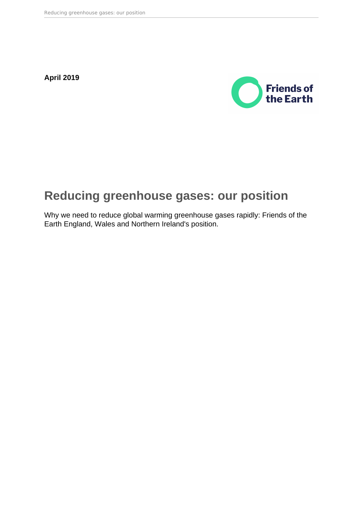**April 2019**



## **Reducing greenhouse gases: our position**

Why we need to reduce global warming greenhouse gases rapidly: Friends of the Earth England, Wales and Northern Ireland's position.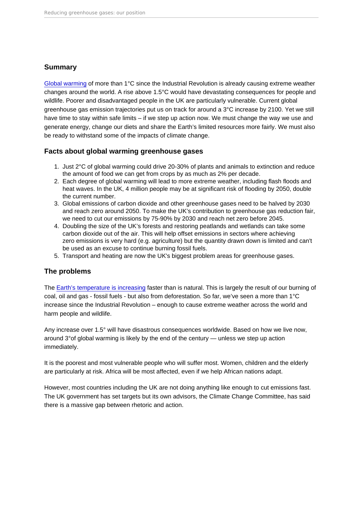## Summary

[Global warming](https://friendsoftheearth.uk/climate-change) of more than 1°C since the Industrial Revolution is already causing extreme weather changes around the world. A rise above 1.5°C would have devastating consequences for people and wildlife. Poorer and disadvantaged people in the UK are particularly vulnerable. Current global greenhouse gas emission trajectories put us on track for around a 3°C increase by 2100. Yet we still have time to stay within safe limits – if we step up action now. We must change the way we use and generate energy, change our diets and share the Earth's limited resources more fairly. We must also be ready to withstand some of the impacts of climate change.

Facts about global warming greenhouse gases

- 1. Just 2°C of global warming could drive 20-30% of plants and animals to extinction and reduce the amount of food we can get from crops by as much as 2% per decade.
- 2. Each degree of global warming will lead to more extreme weather, including flash floods and heat waves. In the UK, 4 million people may be at significant risk of flooding by 2050, double the current number.
- 3. Global emissions of carbon dioxide and other greenhouse gases need to be halved by 2030 and reach zero around 2050. To make the UK's contribution to greenhouse gas reduction fair, we need to cut our emissions by 75-90% by 2030 and reach net zero before 2045.
- 4. Doubling the size of the UK's forests and restoring peatlands and wetlands can take some carbon dioxide out of the air. This will help offset emissions in sectors where achieving zero emissions is very hard (e.g. agriculture) but the quantity drawn down is limited and can't be used as an excuse to continue burning fossil fuels.
- 5. Transport and heating are now the UK's biggest problem areas for greenhouse gases.

## The problems

The [Earth's temperature is increasing](https://friendsoftheearth.uk/climate-change) faster than is natural. This is largely the result of our burning of coal, oil and gas - fossil fuels - but also from deforestation. So far, we've seen a more than 1°C increase since the Industrial Revolution – enough to cause extreme weather across the world and harm people and wildlife.

Any increase over 1.5° will have disastrous consequences worldwide. Based on how we live now, around 3°of global warming is likely by the end of the century — unless we step up action immediately.

It is the poorest and most vulnerable people who will suffer most. Women, children and the elderly are particularly at risk. Africa will be most affected, even if we help African nations adapt.

However, most countries including the UK are not doing anything like enough to cut emissions fast. The UK government has set targets but its own advisors, the Climate Change Committee, has said there is a massive gap between rhetoric and action.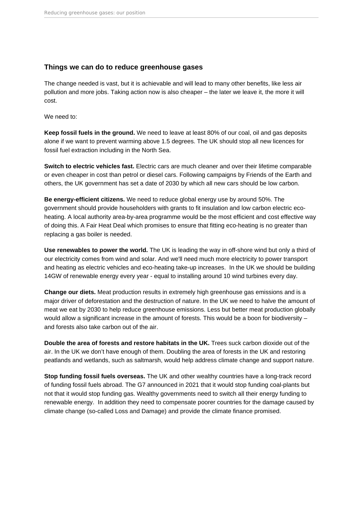## **Things we can do to reduce greenhouse gases**

The change needed is vast, but it is achievable and will lead to many other benefits, like less air pollution and more jobs. Taking action now is also cheaper – the later we leave it, the more it will cost.

We need to:

**Keep fossil fuels in the ground.** We need to leave at least 80% of our coal, oil and gas deposits alone if we want to prevent warming above 1.5 degrees. The UK should stop all new licences for fossil fuel extraction including in the North Sea.

**Switch to electric vehicles fast.** Electric cars are much cleaner and over their lifetime comparable or even cheaper in cost than petrol or diesel cars. Following campaigns by Friends of the Earth and others, the UK government has set a date of 2030 by which all new cars should be low carbon.

**Be energy-efficient citizens.** We need to reduce global energy use by around 50%. The government should provide householders with grants to fit insulation and low carbon electric ecoheating. A local authority area-by-area programme would be the most efficient and cost effective way of doing this. A Fair Heat Deal which promises to ensure that fitting eco-heating is no greater than replacing a gas boiler is needed.

**Use renewables to power the world.** The UK is leading the way in off-shore wind but only a third of our electricity comes from wind and solar. And we'll need much more electricity to power transport and heating as electric vehicles and eco-heating take-up increases. In the UK we should be building 14GW of renewable energy every year - equal to installing around 10 wind turbines every day.

**Change our diets.** Meat production results in extremely high greenhouse gas emissions and is a major driver of deforestation and the destruction of nature. In the UK we need to halve the amount of meat we eat by 2030 to help reduce greenhouse emissions. Less but better meat production globally would allow a significant increase in the amount of forests. This would be a boon for biodiversity – and forests also take carbon out of the air.

**Double the area of forests and restore habitats in the UK.** Trees suck carbon dioxide out of the air. In the UK we don't have enough of them. Doubling the area of forests in the UK and restoring peatlands and wetlands, such as saltmarsh, would help address climate change and support nature.

**Stop funding fossil fuels overseas.** The UK and other wealthy countries have a long-track record of funding fossil fuels abroad. The G7 announced in 2021 that it would stop funding coal-plants but not that it would stop funding gas. Wealthy governments need to switch all their energy funding to renewable energy. In addition they need to compensate poorer countries for the damage caused by climate change (so-called Loss and Damage) and provide the climate finance promised.